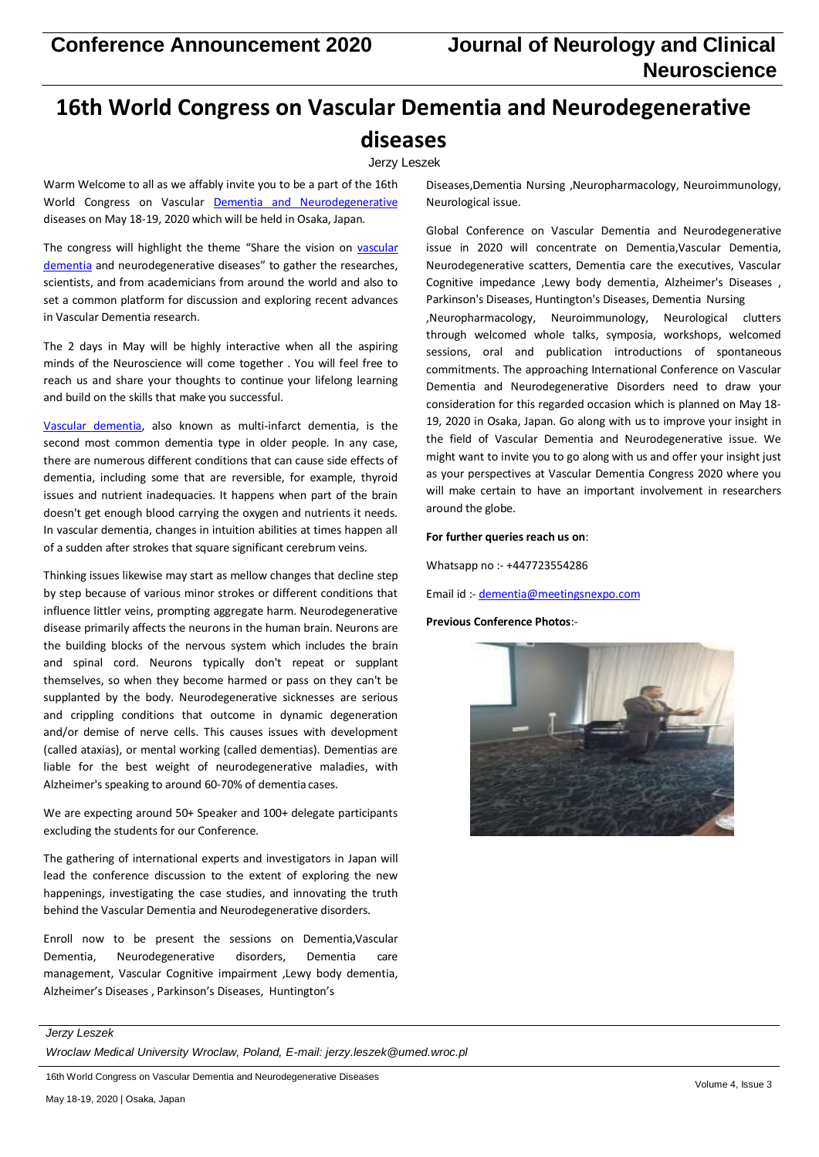# **16th World Congress on Vascular Dementia and Neurodegenerative diseases**

# Jerzy Leszek

Warm Welcome to all as we affably invite you to be a part of the 16th World Congress on Vascular **[Dementia and Neurodegenerative](https://vasculardementia.neuroconferences.com/)** diseases on May 18-19, 2020 which will be held in Osaka, Japan.

The congress will highlight the theme "Share the vision on [vascular](https://vasculardementia.neuroconferences.com/) [dementia](https://vasculardementia.neuroconferences.com/) and neurodegenerative diseases" to gather the researches, scientists, and from academicians from around the world and also to set a common platform for discussion and exploring recent advances in Vascular Dementia research.

The 2 days in May will be highly interactive when all the aspiring minds of the Neuroscience will come together . You will feel free to reach us and share your thoughts to continue your lifelong learning and build on the skills that make you successful.

[Vascular dementia,](https://vasculardementia.neuroconferences.com/) also known as multi-infarct dementia, is the second most common dementia type in older people. In any case, there are numerous different conditions that can cause side effects of dementia, including some that are reversible, for example, thyroid issues and nutrient inadequacies. It happens when part of the brain doesn't get enough blood carrying the oxygen and nutrients it needs. In vascular dementia, changes in intuition abilities at times happen all of a sudden after strokes that square significant cerebrum veins.

Thinking issues likewise may start as mellow changes that decline step by step because of various minor strokes or different conditions that influence littler veins, prompting aggregate harm. Neurodegenerative disease primarily affects the neurons in the human brain. Neurons are the building blocks of the nervous system which includes the brain and spinal cord. Neurons typically don't repeat or supplant themselves, so when they become harmed or pass on they can't be supplanted by the body. Neurodegenerative sicknesses are serious and crippling conditions that outcome in dynamic degeneration and/or demise of nerve cells. This causes issues with development (called ataxias), or mental working (called dementias). Dementias are liable for the best weight of neurodegenerative maladies, with Alzheimer's speaking to around 60-70% of dementia cases.

We are expecting around 50+ Speaker and 100+ delegate participants excluding the students for our Conference.

The gathering of international experts and investigators in Japan will lead the conference discussion to the extent of exploring the new happenings, investigating the case studies, and innovating the truth behind the Vascular Dementia and Neurodegenerative disorders.

Enroll now to be present the sessions on Dementia,Vascular Dementia, Neurodegenerative disorders, Dementia care management, Vascular Cognitive impairment ,Lewy body dementia, Alzheimer's Diseases , Parkinson's Diseases, Huntington's

Diseases,Dementia Nursing ,Neuropharmacology, Neuroimmunology, Neurological issue.

Global Conference on Vascular Dementia and Neurodegenerative issue in 2020 will concentrate on Dementia,Vascular Dementia, Neurodegenerative scatters, Dementia care the executives, Vascular Cognitive impedance ,Lewy body dementia, Alzheimer's Diseases , Parkinson's Diseases, Huntington's Diseases, Dementia Nursing ,Neuropharmacology, Neuroimmunology, Neurological clutters through welcomed whole talks, symposia, workshops, welcomed sessions, oral and publication introductions of spontaneous commitments. The approaching International Conference on Vascular Dementia and Neurodegenerative Disorders need to draw your consideration for this regarded occasion which is planned on May 18- 19, 2020 in Osaka, Japan. Go along with us to improve your insight in the field of Vascular Dementia and Neurodegenerative issue. We might want to invite you to go along with us and offer your insight just as your perspectives at Vascular Dementia Congress 2020 where you will make certain to have an important involvement in researchers around the globe.

## **For further queries reach us on**:

Whatsapp no :- +447723554286

Email id :- [dementia@meetingsnexpo.com](mailto:dementia@meetingsnexpo.com)

### **Previous Conference Photos**:-



#### *Jerzy Leszek*

*Wroclaw Medical University Wroclaw, Poland, E-mail: [jerzy.leszek@umed.wroc.pl](mailto:jerzy.leszek@umed.wroc.pl)*

16th World Congress on Vascular Dementia and Neurodegenerative Diseases